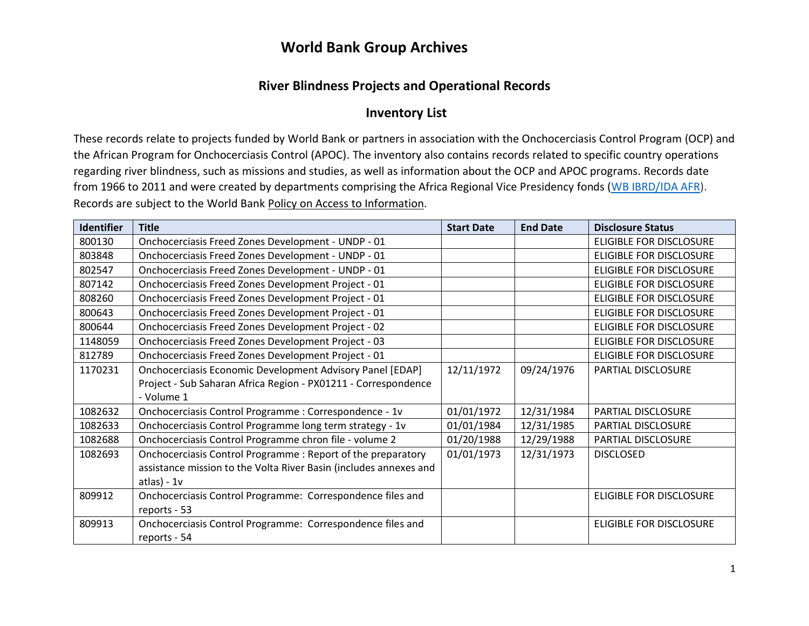#### **River Blindness Projects and Operational Records**

#### **Inventory List**

These records relate to projects funded by World Bank or partners in association with the Onchocerciasis Control Program (OCP) and the African Program for Onchocerciasis Control (APOC). The inventory also contains records related to specific country operations regarding river blindness, such as missions and studies, as well as information about the OCP and APOC programs. Records date from 1966 to 2011 and were created by departments comprising the Africa Regional Vice Presidency fonds [\(WB IBRD/IDA AFR\)](https://archivesholdings.worldbank.org/records-of-africa-regional-vice-presidency). Records are subject to the World Bank Policy on [Access to Information.](https://www.worldbank.org/en/access-to-information)

| <b>Identifier</b> | <b>Title</b>                                                      | <b>Start Date</b> | <b>End Date</b> | <b>Disclosure Status</b>       |
|-------------------|-------------------------------------------------------------------|-------------------|-----------------|--------------------------------|
| 800130            | Onchocerciasis Freed Zones Development - UNDP - 01                |                   |                 | <b>ELIGIBLE FOR DISCLOSURE</b> |
| 803848            | Onchocerciasis Freed Zones Development - UNDP - 01                |                   |                 | ELIGIBLE FOR DISCLOSURE        |
| 802547            | Onchocerciasis Freed Zones Development - UNDP - 01                |                   |                 | <b>ELIGIBLE FOR DISCLOSURE</b> |
| 807142            | Onchocerciasis Freed Zones Development Project - 01               |                   |                 | <b>ELIGIBLE FOR DISCLOSURE</b> |
| 808260            | Onchocerciasis Freed Zones Development Project - 01               |                   |                 | <b>ELIGIBLE FOR DISCLOSURE</b> |
| 800643            | Onchocerciasis Freed Zones Development Project - 01               |                   |                 | <b>ELIGIBLE FOR DISCLOSURE</b> |
| 800644            | Onchocerciasis Freed Zones Development Project - 02               |                   |                 | <b>ELIGIBLE FOR DISCLOSURE</b> |
| 1148059           | Onchocerciasis Freed Zones Development Project - 03               |                   |                 | <b>ELIGIBLE FOR DISCLOSURE</b> |
| 812789            | Onchocerciasis Freed Zones Development Project - 01               |                   |                 | ELIGIBLE FOR DISCLOSURE        |
| 1170231           | Onchocerciasis Economic Development Advisory Panel [EDAP]         | 12/11/1972        | 09/24/1976      | PARTIAL DISCLOSURE             |
|                   | Project - Sub Saharan Africa Region - PX01211 - Correspondence    |                   |                 |                                |
|                   | - Volume 1                                                        |                   |                 |                                |
| 1082632           | Onchocerciasis Control Programme : Correspondence - 1v            | 01/01/1972        | 12/31/1984      | PARTIAL DISCLOSURE             |
| 1082633           | Onchocerciasis Control Programme long term strategy - 1v          | 01/01/1984        | 12/31/1985      | PARTIAL DISCLOSURE             |
| 1082688           | Onchocerciasis Control Programme chron file - volume 2            | 01/20/1988        | 12/29/1988      | PARTIAL DISCLOSURE             |
| 1082693           | Onchocerciasis Control Programme: Report of the preparatory       | 01/01/1973        | 12/31/1973      | <b>DISCLOSED</b>               |
|                   | assistance mission to the Volta River Basin (includes annexes and |                   |                 |                                |
|                   | atlas) - $1v$                                                     |                   |                 |                                |
| 809912            | Onchocerciasis Control Programme: Correspondence files and        |                   |                 | <b>ELIGIBLE FOR DISCLOSURE</b> |
|                   | reports - 53                                                      |                   |                 |                                |
| 809913            | Onchocerciasis Control Programme: Correspondence files and        |                   |                 | ELIGIBLE FOR DISCLOSURE        |
|                   | reports - 54                                                      |                   |                 |                                |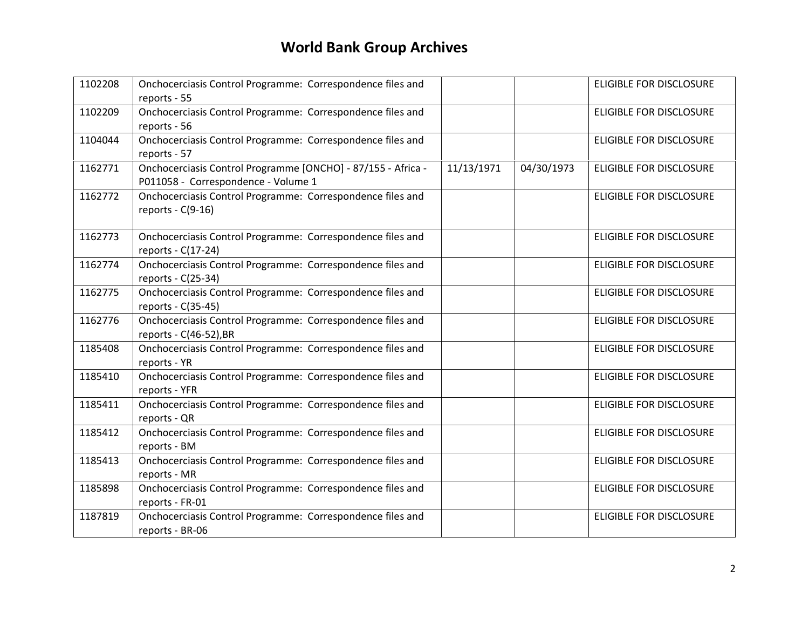| 1102208 | Onchocerciasis Control Programme: Correspondence files and<br>reports - 55                          |            |            | <b>ELIGIBLE FOR DISCLOSURE</b> |
|---------|-----------------------------------------------------------------------------------------------------|------------|------------|--------------------------------|
| 1102209 | Onchocerciasis Control Programme: Correspondence files and<br>reports - 56                          |            |            | <b>ELIGIBLE FOR DISCLOSURE</b> |
| 1104044 | Onchocerciasis Control Programme: Correspondence files and<br>reports - 57                          |            |            | ELIGIBLE FOR DISCLOSURE        |
| 1162771 | Onchocerciasis Control Programme [ONCHO] - 87/155 - Africa -<br>P011058 - Correspondence - Volume 1 | 11/13/1971 | 04/30/1973 | ELIGIBLE FOR DISCLOSURE        |
| 1162772 | Onchocerciasis Control Programme: Correspondence files and<br>reports - $C(9-16)$                   |            |            | <b>ELIGIBLE FOR DISCLOSURE</b> |
| 1162773 | Onchocerciasis Control Programme: Correspondence files and<br>reports - C(17-24)                    |            |            | <b>ELIGIBLE FOR DISCLOSURE</b> |
| 1162774 | Onchocerciasis Control Programme: Correspondence files and<br>reports - C(25-34)                    |            |            | ELIGIBLE FOR DISCLOSURE        |
| 1162775 | Onchocerciasis Control Programme: Correspondence files and<br>reports - C(35-45)                    |            |            | <b>ELIGIBLE FOR DISCLOSURE</b> |
| 1162776 | Onchocerciasis Control Programme: Correspondence files and<br>reports - C(46-52), BR                |            |            | <b>ELIGIBLE FOR DISCLOSURE</b> |
| 1185408 | Onchocerciasis Control Programme: Correspondence files and<br>reports - YR                          |            |            | <b>ELIGIBLE FOR DISCLOSURE</b> |
| 1185410 | Onchocerciasis Control Programme: Correspondence files and<br>reports - YFR                         |            |            | ELIGIBLE FOR DISCLOSURE        |
| 1185411 | Onchocerciasis Control Programme: Correspondence files and<br>reports - QR                          |            |            | <b>ELIGIBLE FOR DISCLOSURE</b> |
| 1185412 | Onchocerciasis Control Programme: Correspondence files and<br>reports - BM                          |            |            | <b>ELIGIBLE FOR DISCLOSURE</b> |
| 1185413 | Onchocerciasis Control Programme: Correspondence files and<br>reports - MR                          |            |            | <b>ELIGIBLE FOR DISCLOSURE</b> |
| 1185898 | Onchocerciasis Control Programme: Correspondence files and<br>reports - FR-01                       |            |            | ELIGIBLE FOR DISCLOSURE        |
| 1187819 | Onchocerciasis Control Programme: Correspondence files and<br>reports - BR-06                       |            |            | <b>ELIGIBLE FOR DISCLOSURE</b> |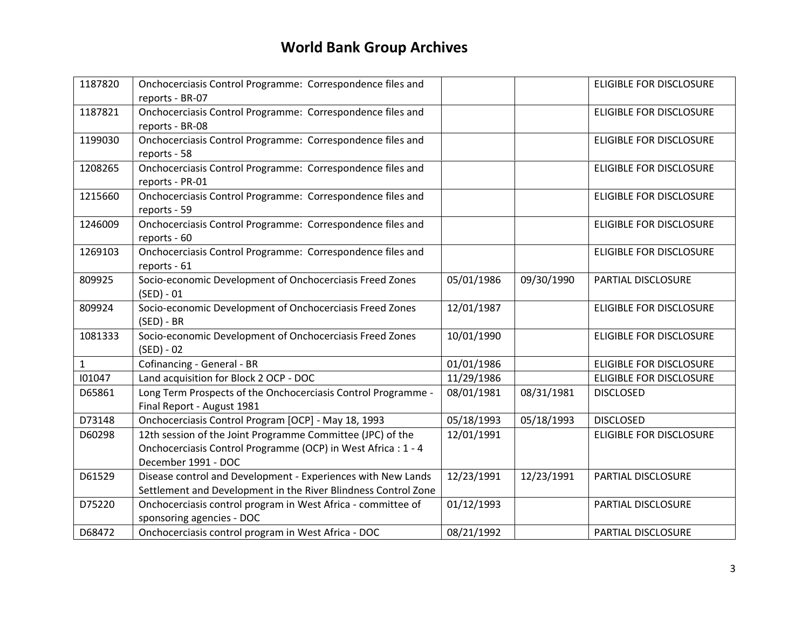| 1187820      | Onchocerciasis Control Programme: Correspondence files and<br>reports - BR-07                                                                      |            |            | <b>ELIGIBLE FOR DISCLOSURE</b> |
|--------------|----------------------------------------------------------------------------------------------------------------------------------------------------|------------|------------|--------------------------------|
| 1187821      | Onchocerciasis Control Programme: Correspondence files and<br>reports - BR-08                                                                      |            |            | <b>ELIGIBLE FOR DISCLOSURE</b> |
| 1199030      | Onchocerciasis Control Programme: Correspondence files and<br>reports - 58                                                                         |            |            | <b>ELIGIBLE FOR DISCLOSURE</b> |
| 1208265      | Onchocerciasis Control Programme: Correspondence files and<br>reports - PR-01                                                                      |            |            | <b>ELIGIBLE FOR DISCLOSURE</b> |
| 1215660      | Onchocerciasis Control Programme: Correspondence files and<br>reports - 59                                                                         |            |            | <b>ELIGIBLE FOR DISCLOSURE</b> |
| 1246009      | Onchocerciasis Control Programme: Correspondence files and<br>reports - 60                                                                         |            |            | <b>ELIGIBLE FOR DISCLOSURE</b> |
| 1269103      | Onchocerciasis Control Programme: Correspondence files and<br>reports - 61                                                                         |            |            | <b>ELIGIBLE FOR DISCLOSURE</b> |
| 809925       | Socio-economic Development of Onchocerciasis Freed Zones<br>$(SED) - 01$                                                                           | 05/01/1986 | 09/30/1990 | PARTIAL DISCLOSURE             |
| 809924       | Socio-economic Development of Onchocerciasis Freed Zones<br>$(SED) - BR$                                                                           | 12/01/1987 |            | <b>ELIGIBLE FOR DISCLOSURE</b> |
| 1081333      | Socio-economic Development of Onchocerciasis Freed Zones<br>$(SED) - 02$                                                                           | 10/01/1990 |            | ELIGIBLE FOR DISCLOSURE        |
| $\mathbf{1}$ | Cofinancing - General - BR                                                                                                                         | 01/01/1986 |            | <b>ELIGIBLE FOR DISCLOSURE</b> |
| 101047       | Land acquisition for Block 2 OCP - DOC                                                                                                             | 11/29/1986 |            | ELIGIBLE FOR DISCLOSURE        |
| D65861       | Long Term Prospects of the Onchocerciasis Control Programme -<br>Final Report - August 1981                                                        | 08/01/1981 | 08/31/1981 | <b>DISCLOSED</b>               |
| D73148       | Onchocerciasis Control Program [OCP] - May 18, 1993                                                                                                | 05/18/1993 | 05/18/1993 | <b>DISCLOSED</b>               |
| D60298       | 12th session of the Joint Programme Committee (JPC) of the<br>Onchocerciasis Control Programme (OCP) in West Africa : 1 - 4<br>December 1991 - DOC | 12/01/1991 |            | <b>ELIGIBLE FOR DISCLOSURE</b> |
| D61529       | Disease control and Development - Experiences with New Lands<br>Settlement and Development in the River Blindness Control Zone                     | 12/23/1991 | 12/23/1991 | PARTIAL DISCLOSURE             |
| D75220       | Onchocerciasis control program in West Africa - committee of<br>sponsoring agencies - DOC                                                          | 01/12/1993 |            | PARTIAL DISCLOSURE             |
| D68472       | Onchocerciasis control program in West Africa - DOC                                                                                                | 08/21/1992 |            | PARTIAL DISCLOSURE             |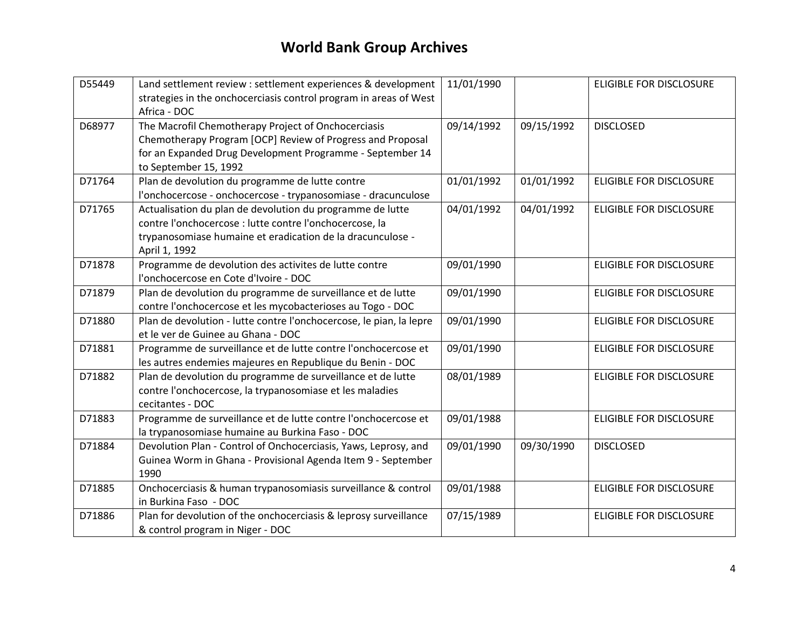| D55449 | Land settlement review : settlement experiences & development<br>strategies in the onchocerciasis control program in areas of West<br>Africa - DOC                                                      | 11/01/1990 |            | ELIGIBLE FOR DISCLOSURE        |
|--------|---------------------------------------------------------------------------------------------------------------------------------------------------------------------------------------------------------|------------|------------|--------------------------------|
| D68977 | The Macrofil Chemotherapy Project of Onchocerciasis<br>Chemotherapy Program [OCP] Review of Progress and Proposal<br>for an Expanded Drug Development Programme - September 14<br>to September 15, 1992 | 09/14/1992 | 09/15/1992 | <b>DISCLOSED</b>               |
| D71764 | Plan de devolution du programme de lutte contre<br>l'onchocercose - onchocercose - trypanosomiase - dracunculose                                                                                        | 01/01/1992 | 01/01/1992 | ELIGIBLE FOR DISCLOSURE        |
| D71765 | Actualisation du plan de devolution du programme de lutte<br>contre l'onchocercose : lutte contre l'onchocercose, la<br>trypanosomiase humaine et eradication de la dracunculose -<br>April 1, 1992     | 04/01/1992 | 04/01/1992 | ELIGIBLE FOR DISCLOSURE        |
| D71878 | Programme de devolution des activites de lutte contre<br>l'onchocercose en Cote d'Ivoire - DOC                                                                                                          | 09/01/1990 |            | ELIGIBLE FOR DISCLOSURE        |
| D71879 | Plan de devolution du programme de surveillance et de lutte<br>contre l'onchocercose et les mycobacterioses au Togo - DOC                                                                               | 09/01/1990 |            | <b>ELIGIBLE FOR DISCLOSURE</b> |
| D71880 | Plan de devolution - lutte contre l'onchocercose, le pian, la lepre<br>et le ver de Guinee au Ghana - DOC                                                                                               | 09/01/1990 |            | <b>ELIGIBLE FOR DISCLOSURE</b> |
| D71881 | Programme de surveillance et de lutte contre l'onchocercose et<br>les autres endemies majeures en Republique du Benin - DOC                                                                             | 09/01/1990 |            | ELIGIBLE FOR DISCLOSURE        |
| D71882 | Plan de devolution du programme de surveillance et de lutte<br>contre l'onchocercose, la trypanosomiase et les maladies<br>cecitantes - DOC                                                             | 08/01/1989 |            | <b>ELIGIBLE FOR DISCLOSURE</b> |
| D71883 | Programme de surveillance et de lutte contre l'onchocercose et<br>la trypanosomiase humaine au Burkina Faso - DOC                                                                                       | 09/01/1988 |            | <b>ELIGIBLE FOR DISCLOSURE</b> |
| D71884 | Devolution Plan - Control of Onchocerciasis, Yaws, Leprosy, and<br>Guinea Worm in Ghana - Provisional Agenda Item 9 - September<br>1990                                                                 | 09/01/1990 | 09/30/1990 | <b>DISCLOSED</b>               |
| D71885 | Onchocerciasis & human trypanosomiasis surveillance & control<br>in Burkina Faso - DOC                                                                                                                  | 09/01/1988 |            | ELIGIBLE FOR DISCLOSURE        |
| D71886 | Plan for devolution of the onchocerciasis & leprosy surveillance<br>& control program in Niger - DOC                                                                                                    | 07/15/1989 |            | <b>ELIGIBLE FOR DISCLOSURE</b> |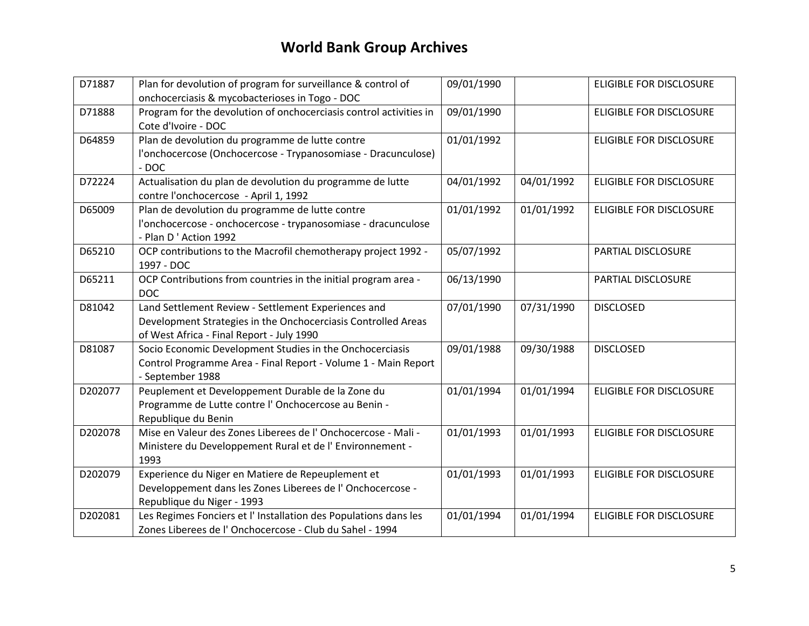| D71887  | Plan for devolution of program for surveillance & control of       | 09/01/1990 |            | <b>ELIGIBLE FOR DISCLOSURE</b> |
|---------|--------------------------------------------------------------------|------------|------------|--------------------------------|
|         | onchocerciasis & mycobacterioses in Togo - DOC                     |            |            |                                |
| D71888  | Program for the devolution of onchocerciasis control activities in | 09/01/1990 |            | <b>ELIGIBLE FOR DISCLOSURE</b> |
|         | Cote d'Ivoire - DOC                                                |            |            |                                |
| D64859  | Plan de devolution du programme de lutte contre                    | 01/01/1992 |            | ELIGIBLE FOR DISCLOSURE        |
|         | l'onchocercose (Onchocercose - Trypanosomiase - Dracunculose)      |            |            |                                |
|         | $-$ DOC                                                            |            |            |                                |
| D72224  | Actualisation du plan de devolution du programme de lutte          | 04/01/1992 | 04/01/1992 | ELIGIBLE FOR DISCLOSURE        |
|         | contre l'onchocercose - April 1, 1992                              |            |            |                                |
| D65009  | Plan de devolution du programme de lutte contre                    | 01/01/1992 | 01/01/1992 | ELIGIBLE FOR DISCLOSURE        |
|         | l'onchocercose - onchocercose - trypanosomiase - dracunculose      |            |            |                                |
|         | - Plan D'Action 1992                                               |            |            |                                |
| D65210  | OCP contributions to the Macrofil chemotherapy project 1992 -      | 05/07/1992 |            | PARTIAL DISCLOSURE             |
|         | 1997 - DOC                                                         |            |            |                                |
| D65211  | OCP Contributions from countries in the initial program area -     | 06/13/1990 |            | PARTIAL DISCLOSURE             |
|         | <b>DOC</b>                                                         |            |            |                                |
| D81042  | Land Settlement Review - Settlement Experiences and                | 07/01/1990 | 07/31/1990 | <b>DISCLOSED</b>               |
|         | Development Strategies in the Onchocerciasis Controlled Areas      |            |            |                                |
|         | of West Africa - Final Report - July 1990                          |            |            |                                |
| D81087  | Socio Economic Development Studies in the Onchocerciasis           | 09/01/1988 | 09/30/1988 | <b>DISCLOSED</b>               |
|         | Control Programme Area - Final Report - Volume 1 - Main Report     |            |            |                                |
|         | - September 1988                                                   |            |            |                                |
| D202077 | Peuplement et Developpement Durable de la Zone du                  | 01/01/1994 | 01/01/1994 | ELIGIBLE FOR DISCLOSURE        |
|         | Programme de Lutte contre l'Onchocercose au Benin -                |            |            |                                |
|         | Republique du Benin                                                |            |            |                                |
| D202078 | Mise en Valeur des Zones Liberees de l'Onchocercose - Mali -       | 01/01/1993 | 01/01/1993 | <b>ELIGIBLE FOR DISCLOSURE</b> |
|         | Ministere du Developpement Rural et de l'Environnement -           |            |            |                                |
|         | 1993                                                               |            |            |                                |
| D202079 | Experience du Niger en Matiere de Repeuplement et                  | 01/01/1993 | 01/01/1993 | ELIGIBLE FOR DISCLOSURE        |
|         | Developpement dans les Zones Liberees de l'Onchocercose -          |            |            |                                |
|         | Republique du Niger - 1993                                         |            |            |                                |
| D202081 | Les Regimes Fonciers et l' Installation des Populations dans les   | 01/01/1994 | 01/01/1994 | <b>ELIGIBLE FOR DISCLOSURE</b> |
|         | Zones Liberees de l'Onchocercose - Club du Sahel - 1994            |            |            |                                |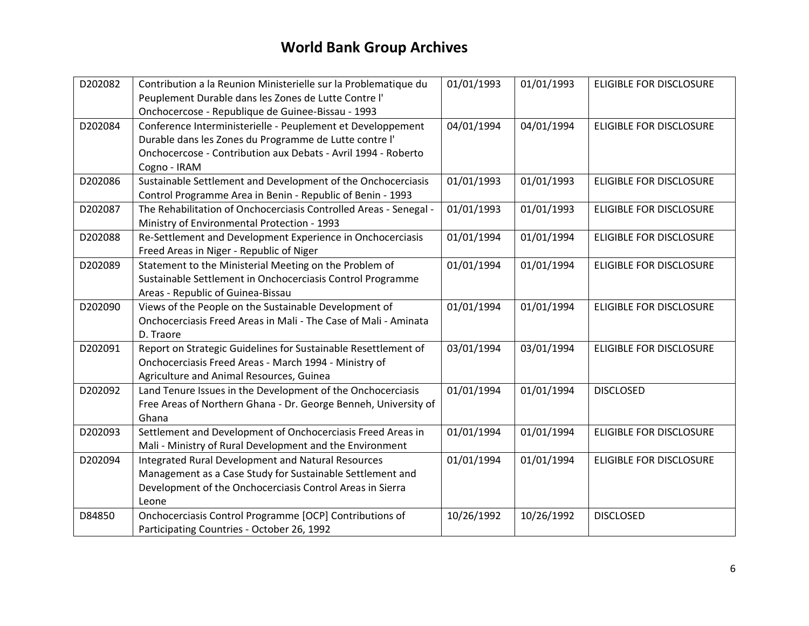| D202082 | Contribution a la Reunion Ministerielle sur la Problematique du                                           | 01/01/1993 | 01/01/1993 | <b>ELIGIBLE FOR DISCLOSURE</b> |
|---------|-----------------------------------------------------------------------------------------------------------|------------|------------|--------------------------------|
|         | Peuplement Durable dans les Zones de Lutte Contre l'<br>Onchocercose - Republique de Guinee-Bissau - 1993 |            |            |                                |
| D202084 | Conference Interministerielle - Peuplement et Developpement                                               | 04/01/1994 | 04/01/1994 | <b>ELIGIBLE FOR DISCLOSURE</b> |
|         | Durable dans les Zones du Programme de Lutte contre l'                                                    |            |            |                                |
|         | Onchocercose - Contribution aux Debats - Avril 1994 - Roberto                                             |            |            |                                |
|         | Cogno - IRAM                                                                                              |            |            |                                |
| D202086 | Sustainable Settlement and Development of the Onchocerciasis                                              | 01/01/1993 | 01/01/1993 | <b>ELIGIBLE FOR DISCLOSURE</b> |
|         | Control Programme Area in Benin - Republic of Benin - 1993                                                |            |            |                                |
| D202087 | The Rehabilitation of Onchocerciasis Controlled Areas - Senegal -                                         | 01/01/1993 | 01/01/1993 | <b>ELIGIBLE FOR DISCLOSURE</b> |
|         | Ministry of Environmental Protection - 1993                                                               |            |            |                                |
| D202088 | Re-Settlement and Development Experience in Onchocerciasis                                                | 01/01/1994 | 01/01/1994 | <b>ELIGIBLE FOR DISCLOSURE</b> |
|         | Freed Areas in Niger - Republic of Niger                                                                  |            |            |                                |
| D202089 | Statement to the Ministerial Meeting on the Problem of                                                    | 01/01/1994 | 01/01/1994 | ELIGIBLE FOR DISCLOSURE        |
|         | Sustainable Settlement in Onchocerciasis Control Programme                                                |            |            |                                |
|         | Areas - Republic of Guinea-Bissau                                                                         |            |            |                                |
| D202090 | Views of the People on the Sustainable Development of                                                     | 01/01/1994 | 01/01/1994 | <b>ELIGIBLE FOR DISCLOSURE</b> |
|         | Onchocerciasis Freed Areas in Mali - The Case of Mali - Aminata                                           |            |            |                                |
|         | D. Traore                                                                                                 |            |            |                                |
| D202091 | Report on Strategic Guidelines for Sustainable Resettlement of                                            | 03/01/1994 | 03/01/1994 | <b>ELIGIBLE FOR DISCLOSURE</b> |
|         | Onchocerciasis Freed Areas - March 1994 - Ministry of                                                     |            |            |                                |
|         | Agriculture and Animal Resources, Guinea                                                                  |            |            |                                |
| D202092 | Land Tenure Issues in the Development of the Onchocerciasis                                               | 01/01/1994 | 01/01/1994 | <b>DISCLOSED</b>               |
|         | Free Areas of Northern Ghana - Dr. George Benneh, University of                                           |            |            |                                |
|         | Ghana                                                                                                     |            |            |                                |
| D202093 | Settlement and Development of Onchocerciasis Freed Areas in                                               | 01/01/1994 | 01/01/1994 | <b>ELIGIBLE FOR DISCLOSURE</b> |
|         | Mali - Ministry of Rural Development and the Environment                                                  |            |            |                                |
| D202094 | Integrated Rural Development and Natural Resources                                                        | 01/01/1994 | 01/01/1994 | <b>ELIGIBLE FOR DISCLOSURE</b> |
|         | Management as a Case Study for Sustainable Settlement and                                                 |            |            |                                |
|         | Development of the Onchocerciasis Control Areas in Sierra<br>Leone                                        |            |            |                                |
| D84850  | Onchocerciasis Control Programme [OCP] Contributions of                                                   | 10/26/1992 | 10/26/1992 | <b>DISCLOSED</b>               |
|         | Participating Countries - October 26, 1992                                                                |            |            |                                |
|         |                                                                                                           |            |            |                                |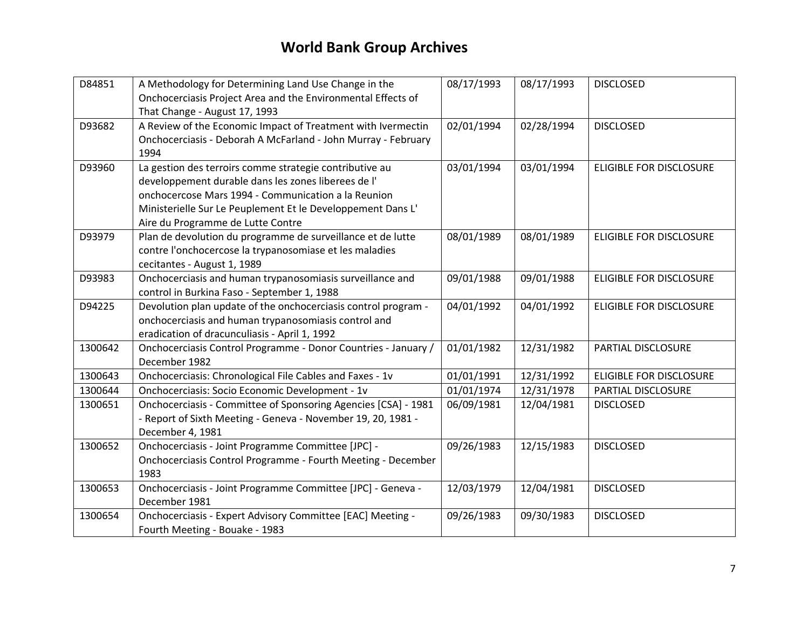| D84851  | A Methodology for Determining Land Use Change in the           | 08/17/1993 | 08/17/1993 | <b>DISCLOSED</b>               |
|---------|----------------------------------------------------------------|------------|------------|--------------------------------|
|         | Onchocerciasis Project Area and the Environmental Effects of   |            |            |                                |
|         | That Change - August 17, 1993                                  |            |            |                                |
| D93682  | A Review of the Economic Impact of Treatment with Ivermectin   | 02/01/1994 | 02/28/1994 | <b>DISCLOSED</b>               |
|         | Onchocerciasis - Deborah A McFarland - John Murray - February  |            |            |                                |
|         | 1994                                                           |            |            |                                |
| D93960  | La gestion des terroirs comme strategie contributive au        | 03/01/1994 | 03/01/1994 | <b>ELIGIBLE FOR DISCLOSURE</b> |
|         | developpement durable dans les zones liberees de l'            |            |            |                                |
|         | onchocercose Mars 1994 - Communication a la Reunion            |            |            |                                |
|         | Ministerielle Sur Le Peuplement Et le Developpement Dans L'    |            |            |                                |
|         | Aire du Programme de Lutte Contre                              |            |            |                                |
| D93979  | Plan de devolution du programme de surveillance et de lutte    | 08/01/1989 | 08/01/1989 | <b>ELIGIBLE FOR DISCLOSURE</b> |
|         | contre l'onchocercose la trypanosomiase et les maladies        |            |            |                                |
|         | cecitantes - August 1, 1989                                    |            |            |                                |
| D93983  | Onchocerciasis and human trypanosomiasis surveillance and      | 09/01/1988 | 09/01/1988 | <b>ELIGIBLE FOR DISCLOSURE</b> |
|         | control in Burkina Faso - September 1, 1988                    |            |            |                                |
| D94225  | Devolution plan update of the onchocerciasis control program - | 04/01/1992 | 04/01/1992 | <b>ELIGIBLE FOR DISCLOSURE</b> |
|         | onchocerciasis and human trypanosomiasis control and           |            |            |                                |
|         | eradication of dracunculiasis - April 1, 1992                  |            |            |                                |
| 1300642 | Onchocerciasis Control Programme - Donor Countries - January / | 01/01/1982 | 12/31/1982 | PARTIAL DISCLOSURE             |
|         | December 1982                                                  |            |            |                                |
| 1300643 | Onchocerciasis: Chronological File Cables and Faxes - 1v       | 01/01/1991 | 12/31/1992 | <b>ELIGIBLE FOR DISCLOSURE</b> |
| 1300644 | Onchocerciasis: Socio Economic Development - 1v                | 01/01/1974 | 12/31/1978 | PARTIAL DISCLOSURE             |
| 1300651 | Onchocerciasis - Committee of Sponsoring Agencies [CSA] - 1981 | 06/09/1981 | 12/04/1981 | <b>DISCLOSED</b>               |
|         | - Report of Sixth Meeting - Geneva - November 19, 20, 1981 -   |            |            |                                |
|         | December 4, 1981                                               |            |            |                                |
| 1300652 | Onchocerciasis - Joint Programme Committee [JPC] -             | 09/26/1983 | 12/15/1983 | <b>DISCLOSED</b>               |
|         | Onchocerciasis Control Programme - Fourth Meeting - December   |            |            |                                |
|         | 1983                                                           |            |            |                                |
| 1300653 | Onchocerciasis - Joint Programme Committee [JPC] - Geneva -    | 12/03/1979 | 12/04/1981 | <b>DISCLOSED</b>               |
|         | December 1981                                                  |            |            |                                |
| 1300654 | Onchocerciasis - Expert Advisory Committee [EAC] Meeting -     | 09/26/1983 | 09/30/1983 | <b>DISCLOSED</b>               |
|         | Fourth Meeting - Bouake - 1983                                 |            |            |                                |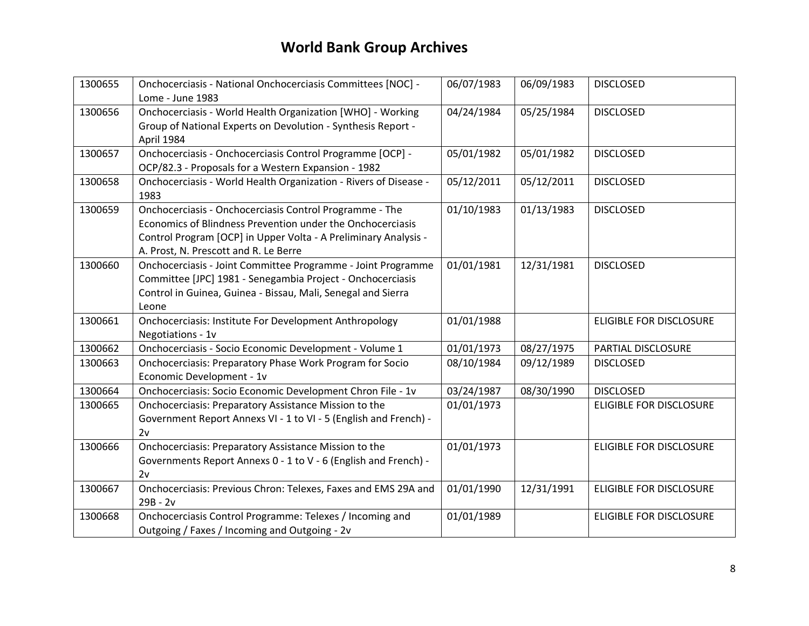| 1300655 | Onchocerciasis - National Onchocerciasis Committees [NOC] -<br>Lome - June 1983                                                                                                                                                   | 06/07/1983 | 06/09/1983 | <b>DISCLOSED</b>               |
|---------|-----------------------------------------------------------------------------------------------------------------------------------------------------------------------------------------------------------------------------------|------------|------------|--------------------------------|
| 1300656 | Onchocerciasis - World Health Organization [WHO] - Working<br>Group of National Experts on Devolution - Synthesis Report -<br>April 1984                                                                                          | 04/24/1984 | 05/25/1984 | <b>DISCLOSED</b>               |
| 1300657 | Onchocerciasis - Onchocerciasis Control Programme [OCP] -<br>OCP/82.3 - Proposals for a Western Expansion - 1982                                                                                                                  | 05/01/1982 | 05/01/1982 | <b>DISCLOSED</b>               |
| 1300658 | Onchocerciasis - World Health Organization - Rivers of Disease -<br>1983                                                                                                                                                          | 05/12/2011 | 05/12/2011 | <b>DISCLOSED</b>               |
| 1300659 | Onchocerciasis - Onchocerciasis Control Programme - The<br>Economics of Blindness Prevention under the Onchocerciasis<br>Control Program [OCP] in Upper Volta - A Preliminary Analysis -<br>A. Prost, N. Prescott and R. Le Berre | 01/10/1983 | 01/13/1983 | <b>DISCLOSED</b>               |
| 1300660 | Onchocerciasis - Joint Committee Programme - Joint Programme<br>Committee [JPC] 1981 - Senegambia Project - Onchocerciasis<br>Control in Guinea, Guinea - Bissau, Mali, Senegal and Sierra<br>Leone                               | 01/01/1981 | 12/31/1981 | <b>DISCLOSED</b>               |
| 1300661 | Onchocerciasis: Institute For Development Anthropology<br>Negotiations - 1v                                                                                                                                                       | 01/01/1988 |            | <b>ELIGIBLE FOR DISCLOSURE</b> |
| 1300662 | Onchocerciasis - Socio Economic Development - Volume 1                                                                                                                                                                            | 01/01/1973 | 08/27/1975 | PARTIAL DISCLOSURE             |
| 1300663 | Onchocerciasis: Preparatory Phase Work Program for Socio<br>Economic Development - 1v                                                                                                                                             | 08/10/1984 | 09/12/1989 | <b>DISCLOSED</b>               |
| 1300664 | Onchocerciasis: Socio Economic Development Chron File - 1v                                                                                                                                                                        | 03/24/1987 | 08/30/1990 | <b>DISCLOSED</b>               |
| 1300665 | Onchocerciasis: Preparatory Assistance Mission to the<br>Government Report Annexs VI - 1 to VI - 5 (English and French) -<br>2v                                                                                                   | 01/01/1973 |            | <b>ELIGIBLE FOR DISCLOSURE</b> |
| 1300666 | Onchocerciasis: Preparatory Assistance Mission to the<br>Governments Report Annexs 0 - 1 to V - 6 (English and French) -<br>2v                                                                                                    | 01/01/1973 |            | ELIGIBLE FOR DISCLOSURE        |
| 1300667 | Onchocerciasis: Previous Chron: Telexes, Faxes and EMS 29A and<br>$29B - 2v$                                                                                                                                                      | 01/01/1990 | 12/31/1991 | <b>ELIGIBLE FOR DISCLOSURE</b> |
| 1300668 | Onchocerciasis Control Programme: Telexes / Incoming and<br>Outgoing / Faxes / Incoming and Outgoing - 2v                                                                                                                         | 01/01/1989 |            | <b>ELIGIBLE FOR DISCLOSURE</b> |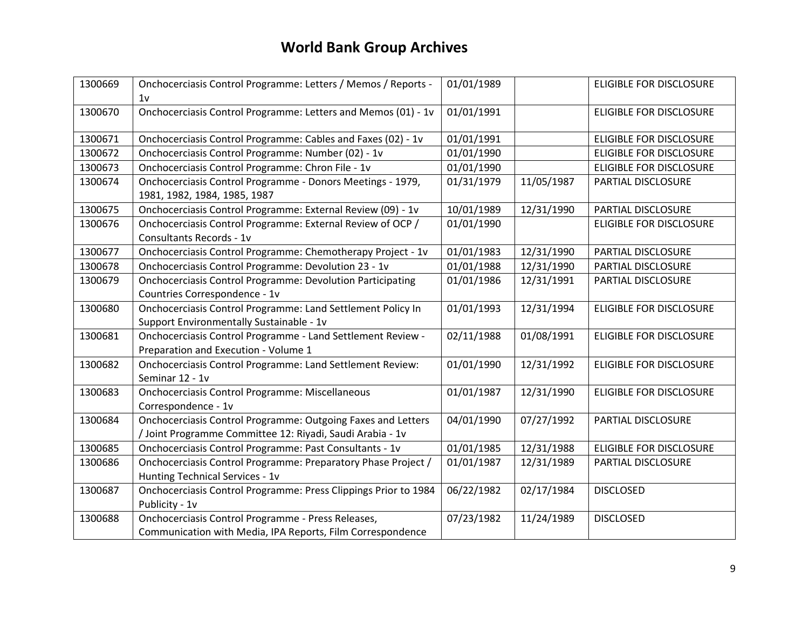| 1300669 | Onchocerciasis Control Programme: Letters / Memos / Reports -<br>1v                        | 01/01/1989 |            | <b>ELIGIBLE FOR DISCLOSURE</b> |
|---------|--------------------------------------------------------------------------------------------|------------|------------|--------------------------------|
| 1300670 | Onchocerciasis Control Programme: Letters and Memos (01) - 1v                              | 01/01/1991 |            | <b>ELIGIBLE FOR DISCLOSURE</b> |
| 1300671 | Onchocerciasis Control Programme: Cables and Faxes (02) - 1v                               | 01/01/1991 |            | <b>ELIGIBLE FOR DISCLOSURE</b> |
| 1300672 | Onchocerciasis Control Programme: Number (02) - 1v                                         | 01/01/1990 |            | <b>ELIGIBLE FOR DISCLOSURE</b> |
| 1300673 | Onchocerciasis Control Programme: Chron File - 1v                                          | 01/01/1990 |            | <b>ELIGIBLE FOR DISCLOSURE</b> |
| 1300674 | Onchocerciasis Control Programme - Donors Meetings - 1979,<br>1981, 1982, 1984, 1985, 1987 | 01/31/1979 | 11/05/1987 | PARTIAL DISCLOSURE             |
| 1300675 | Onchocerciasis Control Programme: External Review (09) - 1v                                | 10/01/1989 | 12/31/1990 | PARTIAL DISCLOSURE             |
| 1300676 | Onchocerciasis Control Programme: External Review of OCP /                                 | 01/01/1990 |            | <b>ELIGIBLE FOR DISCLOSURE</b> |
|         | Consultants Records - 1v                                                                   |            |            |                                |
| 1300677 | Onchocerciasis Control Programme: Chemotherapy Project - 1v                                | 01/01/1983 | 12/31/1990 | PARTIAL DISCLOSURE             |
| 1300678 | Onchocerciasis Control Programme: Devolution 23 - 1v                                       | 01/01/1988 | 12/31/1990 | PARTIAL DISCLOSURE             |
| 1300679 | <b>Onchocerciasis Control Programme: Devolution Participating</b>                          | 01/01/1986 | 12/31/1991 | PARTIAL DISCLOSURE             |
|         | Countries Correspondence - 1v                                                              |            |            |                                |
| 1300680 | Onchocerciasis Control Programme: Land Settlement Policy In                                | 01/01/1993 | 12/31/1994 | <b>ELIGIBLE FOR DISCLOSURE</b> |
|         | Support Environmentally Sustainable - 1v                                                   |            |            |                                |
| 1300681 | Onchocerciasis Control Programme - Land Settlement Review -                                | 02/11/1988 | 01/08/1991 | <b>ELIGIBLE FOR DISCLOSURE</b> |
|         | Preparation and Execution - Volume 1                                                       |            |            |                                |
| 1300682 | Onchocerciasis Control Programme: Land Settlement Review:                                  | 01/01/1990 | 12/31/1992 | <b>ELIGIBLE FOR DISCLOSURE</b> |
|         | Seminar 12 - 1v                                                                            |            |            |                                |
| 1300683 | Onchocerciasis Control Programme: Miscellaneous                                            | 01/01/1987 | 12/31/1990 | <b>ELIGIBLE FOR DISCLOSURE</b> |
|         | Correspondence - 1v                                                                        |            |            |                                |
| 1300684 | Onchocerciasis Control Programme: Outgoing Faxes and Letters                               | 04/01/1990 | 07/27/1992 | PARTIAL DISCLOSURE             |
|         | / Joint Programme Committee 12: Riyadi, Saudi Arabia - 1v                                  |            |            |                                |
| 1300685 | Onchocerciasis Control Programme: Past Consultants - 1v                                    | 01/01/1985 | 12/31/1988 | <b>ELIGIBLE FOR DISCLOSURE</b> |
| 1300686 | Onchocerciasis Control Programme: Preparatory Phase Project /                              | 01/01/1987 | 12/31/1989 | PARTIAL DISCLOSURE             |
|         | Hunting Technical Services - 1v                                                            |            |            |                                |
| 1300687 | Onchocerciasis Control Programme: Press Clippings Prior to 1984                            | 06/22/1982 | 02/17/1984 | <b>DISCLOSED</b>               |
|         | Publicity - 1v                                                                             |            |            |                                |
| 1300688 | Onchocerciasis Control Programme - Press Releases,                                         | 07/23/1982 | 11/24/1989 | <b>DISCLOSED</b>               |
|         | Communication with Media, IPA Reports, Film Correspondence                                 |            |            |                                |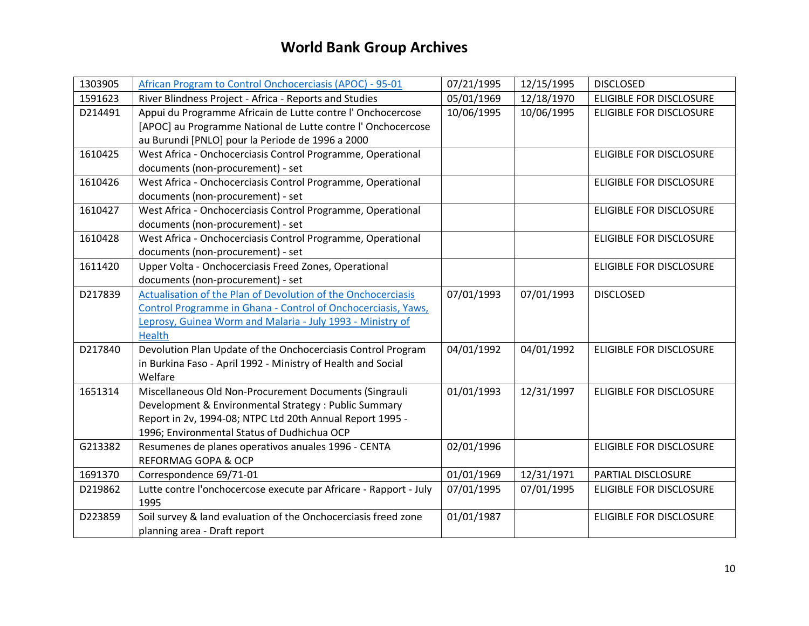| 1303905 | African Program to Control Onchocerciasis (APOC) - 95-01          | 07/21/1995 | 12/15/1995 | <b>DISCLOSED</b>               |
|---------|-------------------------------------------------------------------|------------|------------|--------------------------------|
| 1591623 | River Blindness Project - Africa - Reports and Studies            | 05/01/1969 | 12/18/1970 | <b>ELIGIBLE FOR DISCLOSURE</b> |
| D214491 | Appui du Programme Africain de Lutte contre l'Onchocercose        | 10/06/1995 | 10/06/1995 | <b>ELIGIBLE FOR DISCLOSURE</b> |
|         | [APOC] au Programme National de Lutte contre l'Onchocercose       |            |            |                                |
|         | au Burundi [PNLO] pour la Periode de 1996 a 2000                  |            |            |                                |
| 1610425 | West Africa - Onchocerciasis Control Programme, Operational       |            |            | <b>ELIGIBLE FOR DISCLOSURE</b> |
|         | documents (non-procurement) - set                                 |            |            |                                |
| 1610426 | West Africa - Onchocerciasis Control Programme, Operational       |            |            | <b>ELIGIBLE FOR DISCLOSURE</b> |
|         | documents (non-procurement) - set                                 |            |            |                                |
| 1610427 | West Africa - Onchocerciasis Control Programme, Operational       |            |            | <b>ELIGIBLE FOR DISCLOSURE</b> |
|         | documents (non-procurement) - set                                 |            |            |                                |
| 1610428 | West Africa - Onchocerciasis Control Programme, Operational       |            |            | <b>ELIGIBLE FOR DISCLOSURE</b> |
|         | documents (non-procurement) - set                                 |            |            |                                |
| 1611420 | Upper Volta - Onchocerciasis Freed Zones, Operational             |            |            | <b>ELIGIBLE FOR DISCLOSURE</b> |
|         | documents (non-procurement) - set                                 |            |            |                                |
| D217839 | Actualisation of the Plan of Devolution of the Onchocerciasis     | 07/01/1993 | 07/01/1993 | <b>DISCLOSED</b>               |
|         | Control Programme in Ghana - Control of Onchocerciasis, Yaws,     |            |            |                                |
|         | Leprosy, Guinea Worm and Malaria - July 1993 - Ministry of        |            |            |                                |
|         | Health                                                            |            |            |                                |
| D217840 | Devolution Plan Update of the Onchocerciasis Control Program      | 04/01/1992 | 04/01/1992 | <b>ELIGIBLE FOR DISCLOSURE</b> |
|         | in Burkina Faso - April 1992 - Ministry of Health and Social      |            |            |                                |
|         | Welfare                                                           |            |            |                                |
| 1651314 | Miscellaneous Old Non-Procurement Documents (Singrauli            | 01/01/1993 | 12/31/1997 | <b>ELIGIBLE FOR DISCLOSURE</b> |
|         | Development & Environmental Strategy : Public Summary             |            |            |                                |
|         | Report in 2v, 1994-08; NTPC Ltd 20th Annual Report 1995 -         |            |            |                                |
|         | 1996; Environmental Status of Dudhichua OCP                       |            |            |                                |
| G213382 | Resumenes de planes operativos anuales 1996 - CENTA               | 02/01/1996 |            | <b>ELIGIBLE FOR DISCLOSURE</b> |
|         | <b>REFORMAG GOPA &amp; OCP</b>                                    |            |            |                                |
| 1691370 | Correspondence 69/71-01                                           | 01/01/1969 | 12/31/1971 | PARTIAL DISCLOSURE             |
| D219862 | Lutte contre l'onchocercose execute par Africare - Rapport - July | 07/01/1995 | 07/01/1995 | <b>ELIGIBLE FOR DISCLOSURE</b> |
|         | 1995                                                              |            |            |                                |
| D223859 | Soil survey & land evaluation of the Onchocerciasis freed zone    | 01/01/1987 |            | <b>ELIGIBLE FOR DISCLOSURE</b> |
|         | planning area - Draft report                                      |            |            |                                |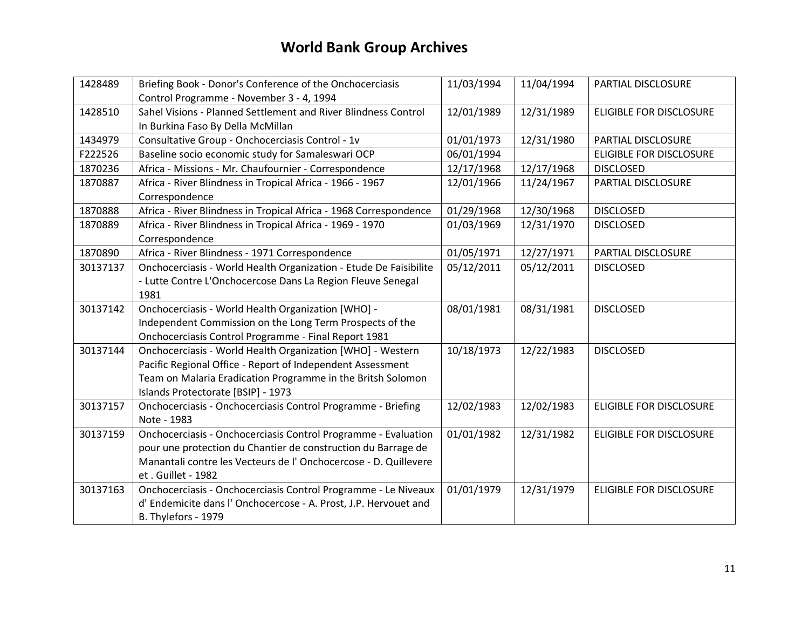| 1428489  | Briefing Book - Donor's Conference of the Onchocerciasis          | 11/03/1994 | 11/04/1994 | PARTIAL DISCLOSURE             |
|----------|-------------------------------------------------------------------|------------|------------|--------------------------------|
|          | Control Programme - November 3 - 4, 1994                          |            |            |                                |
| 1428510  | Sahel Visions - Planned Settlement and River Blindness Control    | 12/01/1989 | 12/31/1989 | <b>ELIGIBLE FOR DISCLOSURE</b> |
|          | In Burkina Faso By Della McMillan                                 |            |            |                                |
| 1434979  | Consultative Group - Onchocerciasis Control - 1v                  | 01/01/1973 | 12/31/1980 | PARTIAL DISCLOSURE             |
| F222526  | Baseline socio economic study for Samaleswari OCP                 | 06/01/1994 |            | <b>ELIGIBLE FOR DISCLOSURE</b> |
| 1870236  | Africa - Missions - Mr. Chaufournier - Correspondence             | 12/17/1968 | 12/17/1968 | <b>DISCLOSED</b>               |
| 1870887  | Africa - River Blindness in Tropical Africa - 1966 - 1967         | 12/01/1966 | 11/24/1967 | PARTIAL DISCLOSURE             |
|          | Correspondence                                                    |            |            |                                |
| 1870888  | Africa - River Blindness in Tropical Africa - 1968 Correspondence | 01/29/1968 | 12/30/1968 | <b>DISCLOSED</b>               |
| 1870889  | Africa - River Blindness in Tropical Africa - 1969 - 1970         | 01/03/1969 | 12/31/1970 | <b>DISCLOSED</b>               |
|          | Correspondence                                                    |            |            |                                |
| 1870890  | Africa - River Blindness - 1971 Correspondence                    | 01/05/1971 | 12/27/1971 | PARTIAL DISCLOSURE             |
| 30137137 | Onchocerciasis - World Health Organization - Etude De Faisibilite | 05/12/2011 | 05/12/2011 | <b>DISCLOSED</b>               |
|          | - Lutte Contre L'Onchocercose Dans La Region Fleuve Senegal       |            |            |                                |
|          | 1981                                                              |            |            |                                |
| 30137142 | Onchocerciasis - World Health Organization [WHO] -                | 08/01/1981 | 08/31/1981 | <b>DISCLOSED</b>               |
|          | Independent Commission on the Long Term Prospects of the          |            |            |                                |
|          | Onchocerciasis Control Programme - Final Report 1981              |            |            |                                |
| 30137144 | Onchocerciasis - World Health Organization [WHO] - Western        | 10/18/1973 | 12/22/1983 | <b>DISCLOSED</b>               |
|          | Pacific Regional Office - Report of Independent Assessment        |            |            |                                |
|          | Team on Malaria Eradication Programme in the Britsh Solomon       |            |            |                                |
|          | Islands Protectorate [BSIP] - 1973                                |            |            |                                |
| 30137157 | Onchocerciasis - Onchocerciasis Control Programme - Briefing      | 12/02/1983 | 12/02/1983 | <b>ELIGIBLE FOR DISCLOSURE</b> |
|          | Note - 1983                                                       |            |            |                                |
| 30137159 | Onchocerciasis - Onchocerciasis Control Programme - Evaluation    | 01/01/1982 | 12/31/1982 | <b>ELIGIBLE FOR DISCLOSURE</b> |
|          | pour une protection du Chantier de construction du Barrage de     |            |            |                                |
|          | Manantali contre les Vecteurs de l'Onchocercose - D. Quillevere   |            |            |                                |
|          | et. Guillet - 1982                                                |            |            |                                |
| 30137163 | Onchocerciasis - Onchocerciasis Control Programme - Le Niveaux    | 01/01/1979 | 12/31/1979 | <b>ELIGIBLE FOR DISCLOSURE</b> |
|          | d' Endemicite dans l'Onchocercose - A. Prost, J.P. Hervouet and   |            |            |                                |
|          | B. Thylefors - 1979                                               |            |            |                                |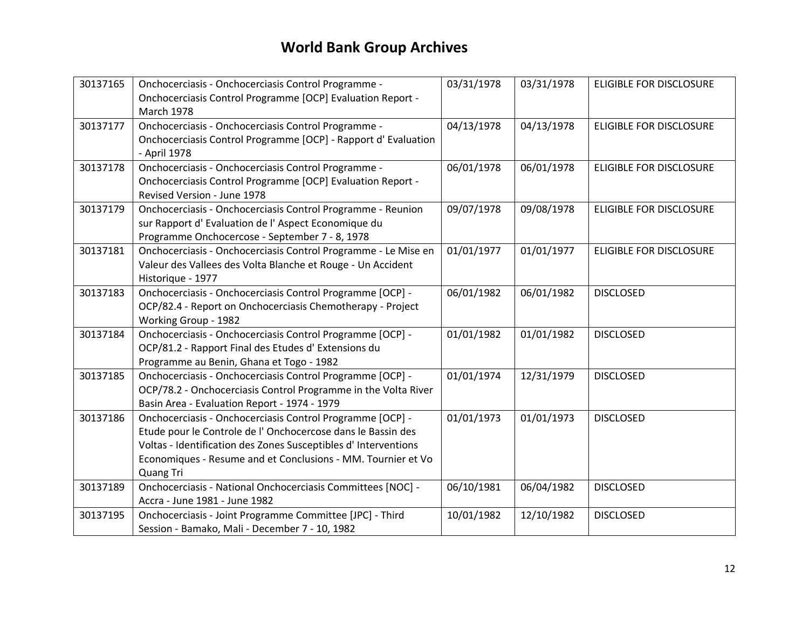| 30137165 | Onchocerciasis - Onchocerciasis Control Programme -                             | 03/31/1978 | 03/31/1978 | <b>ELIGIBLE FOR DISCLOSURE</b> |
|----------|---------------------------------------------------------------------------------|------------|------------|--------------------------------|
|          | Onchocerciasis Control Programme [OCP] Evaluation Report -<br><b>March 1978</b> |            |            |                                |
| 30137177 | Onchocerciasis - Onchocerciasis Control Programme -                             | 04/13/1978 | 04/13/1978 | <b>ELIGIBLE FOR DISCLOSURE</b> |
|          | Onchocerciasis Control Programme [OCP] - Rapport d' Evaluation                  |            |            |                                |
|          | - April 1978                                                                    |            |            |                                |
| 30137178 | Onchocerciasis - Onchocerciasis Control Programme -                             | 06/01/1978 | 06/01/1978 | <b>ELIGIBLE FOR DISCLOSURE</b> |
|          | Onchocerciasis Control Programme [OCP] Evaluation Report -                      |            |            |                                |
|          | Revised Version - June 1978                                                     |            |            |                                |
| 30137179 | Onchocerciasis - Onchocerciasis Control Programme - Reunion                     | 09/07/1978 | 09/08/1978 | <b>ELIGIBLE FOR DISCLOSURE</b> |
|          | sur Rapport d' Evaluation de l'Aspect Economique du                             |            |            |                                |
|          | Programme Onchocercose - September 7 - 8, 1978                                  |            |            |                                |
| 30137181 | Onchocerciasis - Onchocerciasis Control Programme - Le Mise en                  | 01/01/1977 | 01/01/1977 | <b>ELIGIBLE FOR DISCLOSURE</b> |
|          | Valeur des Vallees des Volta Blanche et Rouge - Un Accident                     |            |            |                                |
|          | Historique - 1977                                                               |            |            |                                |
| 30137183 | Onchocerciasis - Onchocerciasis Control Programme [OCP] -                       | 06/01/1982 | 06/01/1982 | <b>DISCLOSED</b>               |
|          | OCP/82.4 - Report on Onchocerciasis Chemotherapy - Project                      |            |            |                                |
|          | Working Group - 1982                                                            |            |            |                                |
| 30137184 | Onchocerciasis - Onchocerciasis Control Programme [OCP] -                       | 01/01/1982 | 01/01/1982 | <b>DISCLOSED</b>               |
|          | OCP/81.2 - Rapport Final des Etudes d' Extensions du                            |            |            |                                |
|          | Programme au Benin, Ghana et Togo - 1982                                        |            |            |                                |
| 30137185 | Onchocerciasis - Onchocerciasis Control Programme [OCP] -                       | 01/01/1974 | 12/31/1979 | <b>DISCLOSED</b>               |
|          | OCP/78.2 - Onchocerciasis Control Programme in the Volta River                  |            |            |                                |
|          | Basin Area - Evaluation Report - 1974 - 1979                                    |            |            |                                |
| 30137186 | Onchocerciasis - Onchocerciasis Control Programme [OCP] -                       | 01/01/1973 | 01/01/1973 | <b>DISCLOSED</b>               |
|          | Etude pour le Controle de l'Onchocercose dans le Bassin des                     |            |            |                                |
|          | Voltas - Identification des Zones Susceptibles d'Interventions                  |            |            |                                |
|          | Economiques - Resume and et Conclusions - MM. Tournier et Vo                    |            |            |                                |
|          | Quang Tri                                                                       |            |            |                                |
| 30137189 | Onchocerciasis - National Onchocerciasis Committees [NOC] -                     | 06/10/1981 | 06/04/1982 | <b>DISCLOSED</b>               |
|          | Accra - June 1981 - June 1982                                                   |            |            |                                |
| 30137195 | Onchocerciasis - Joint Programme Committee [JPC] - Third                        | 10/01/1982 | 12/10/1982 | <b>DISCLOSED</b>               |
|          | Session - Bamako, Mali - December 7 - 10, 1982                                  |            |            |                                |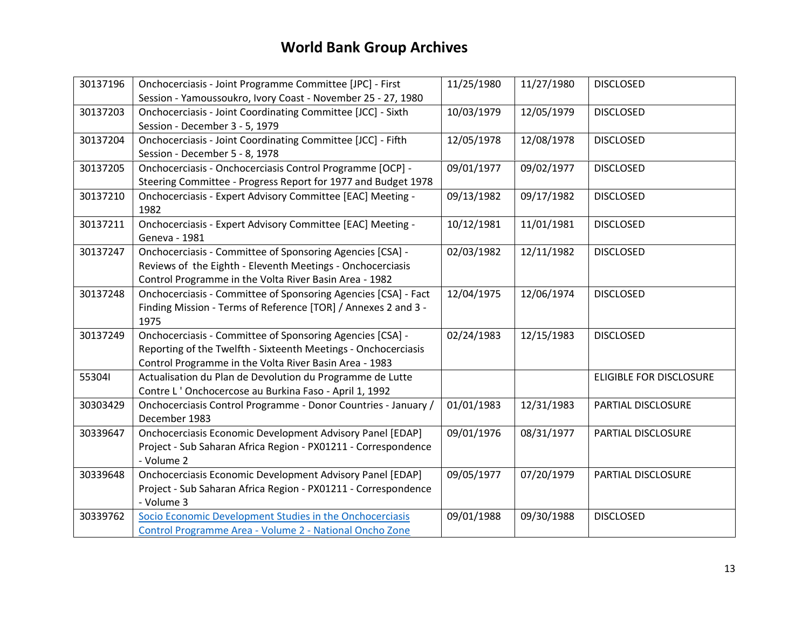| 30137196 | Onchocerciasis - Joint Programme Committee [JPC] - First<br>Session - Yamoussoukro, Ivory Coast - November 25 - 27, 1980                                                              | 11/25/1980 | 11/27/1980 | <b>DISCLOSED</b>               |
|----------|---------------------------------------------------------------------------------------------------------------------------------------------------------------------------------------|------------|------------|--------------------------------|
| 30137203 | Onchocerciasis - Joint Coordinating Committee [JCC] - Sixth<br>Session - December 3 - 5, 1979                                                                                         | 10/03/1979 | 12/05/1979 | <b>DISCLOSED</b>               |
| 30137204 | Onchocerciasis - Joint Coordinating Committee [JCC] - Fifth<br>Session - December 5 - 8, 1978                                                                                         | 12/05/1978 | 12/08/1978 | <b>DISCLOSED</b>               |
| 30137205 | Onchocerciasis - Onchocerciasis Control Programme [OCP] -<br>Steering Committee - Progress Report for 1977 and Budget 1978                                                            | 09/01/1977 | 09/02/1977 | <b>DISCLOSED</b>               |
| 30137210 | Onchocerciasis - Expert Advisory Committee [EAC] Meeting -<br>1982                                                                                                                    | 09/13/1982 | 09/17/1982 | <b>DISCLOSED</b>               |
| 30137211 | Onchocerciasis - Expert Advisory Committee [EAC] Meeting -<br>Geneva - 1981                                                                                                           | 10/12/1981 | 11/01/1981 | <b>DISCLOSED</b>               |
| 30137247 | Onchocerciasis - Committee of Sponsoring Agencies [CSA] -<br>Reviews of the Eighth - Eleventh Meetings - Onchocerciasis<br>Control Programme in the Volta River Basin Area - 1982     | 02/03/1982 | 12/11/1982 | <b>DISCLOSED</b>               |
| 30137248 | Onchocerciasis - Committee of Sponsoring Agencies [CSA] - Fact<br>Finding Mission - Terms of Reference [TOR] / Annexes 2 and 3 -<br>1975                                              | 12/04/1975 | 12/06/1974 | <b>DISCLOSED</b>               |
| 30137249 | Onchocerciasis - Committee of Sponsoring Agencies [CSA] -<br>Reporting of the Twelfth - Sixteenth Meetings - Onchocerciasis<br>Control Programme in the Volta River Basin Area - 1983 | 02/24/1983 | 12/15/1983 | <b>DISCLOSED</b>               |
| 553041   | Actualisation du Plan de Devolution du Programme de Lutte<br>Contre L'Onchocercose au Burkina Faso - April 1, 1992                                                                    |            |            | <b>ELIGIBLE FOR DISCLOSURE</b> |
| 30303429 | Onchocerciasis Control Programme - Donor Countries - January /<br>December 1983                                                                                                       | 01/01/1983 | 12/31/1983 | PARTIAL DISCLOSURE             |
| 30339647 | <b>Onchocerciasis Economic Development Advisory Panel [EDAP]</b><br>Project - Sub Saharan Africa Region - PX01211 - Correspondence<br>- Volume 2                                      | 09/01/1976 | 08/31/1977 | PARTIAL DISCLOSURE             |
| 30339648 | <b>Onchocerciasis Economic Development Advisory Panel [EDAP]</b><br>Project - Sub Saharan Africa Region - PX01211 - Correspondence<br>- Volume 3                                      | 09/05/1977 | 07/20/1979 | PARTIAL DISCLOSURE             |
| 30339762 | Socio Economic Development Studies in the Onchocerciasis<br>Control Programme Area - Volume 2 - National Oncho Zone                                                                   | 09/01/1988 | 09/30/1988 | <b>DISCLOSED</b>               |